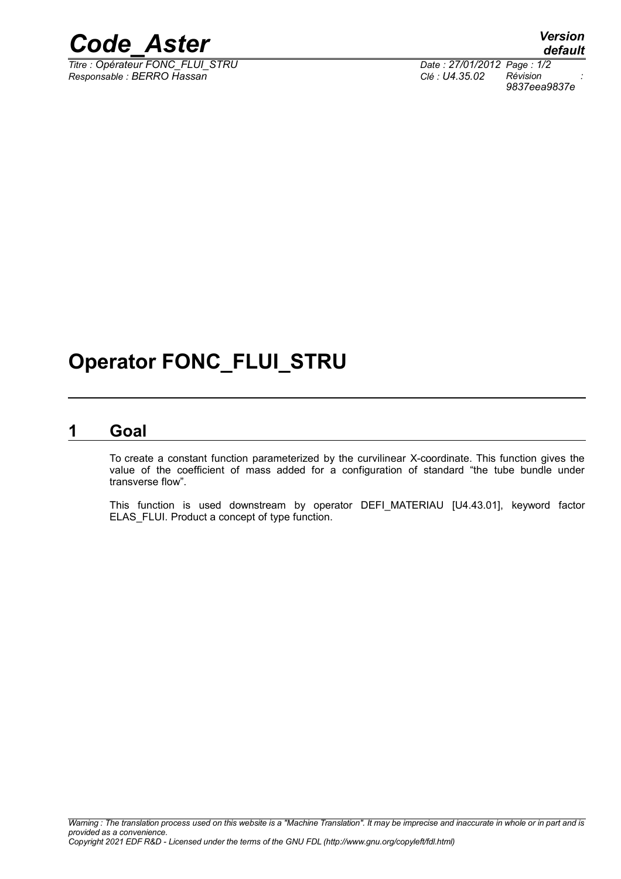

*Titre : Opérateur FONC\_FLUI\_STRU Date : 27/01/2012 Page : 1/2 Responsable : BERRO Hassan Clé : U4.35.02 Révision :*

## **Operator FONC\_FLUI\_STRU**

#### **1 Goal**

To create a constant function parameterized by the curvilinear X-coordinate. This function gives the value of the coefficient of mass added for a configuration of standard "the tube bundle under transverse flow".

This function is used downstream by operator DEFI\_MATERIAU [U4.43.01], keyword factor ELAS\_FLUI. Product a concept of type function.